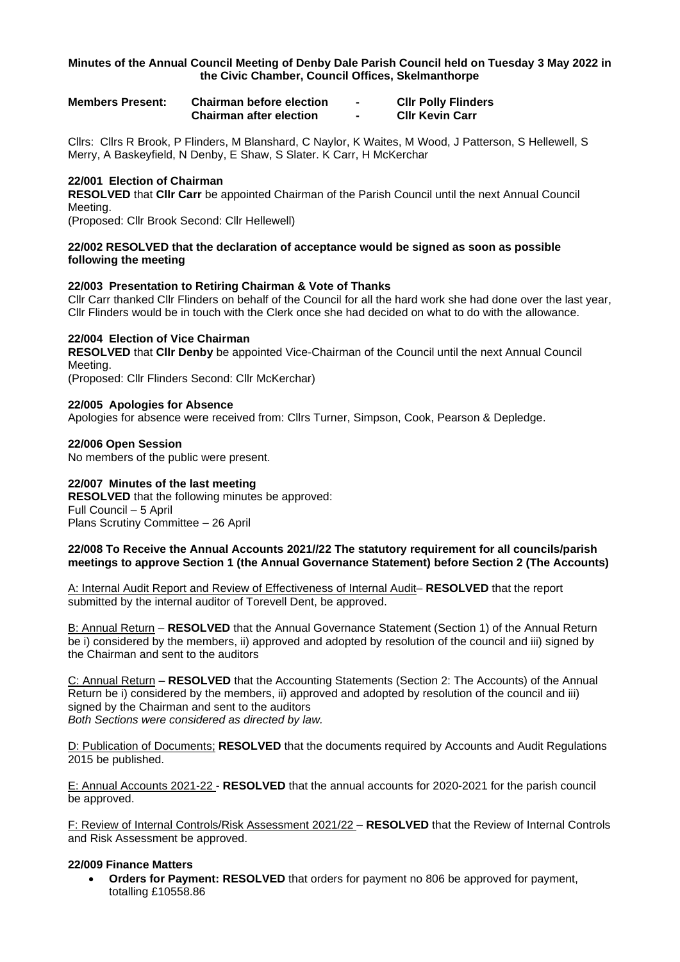### **Minutes of the Annual Council Meeting of Denby Dale Parish Council held on Tuesday 3 May 2022 in the Civic Chamber, Council Offices, Skelmanthorpe**

| <b>Members Present:</b> | <b>Chairman before election</b> | <b>CIIr Polly Flinders</b> |
|-------------------------|---------------------------------|----------------------------|
|                         | <b>Chairman after election</b>  | <b>CIIr Kevin Carr</b>     |

Cllrs: Cllrs R Brook, P Flinders, M Blanshard, C Naylor, K Waites, M Wood, J Patterson, S Hellewell, S Merry, A Baskeyfield, N Denby, E Shaw, S Slater. K Carr, H McKerchar

### **22/001 Election of Chairman**

**RESOLVED** that **Cllr Carr** be appointed Chairman of the Parish Council until the next Annual Council Meeting.

(Proposed: Cllr Brook Second: Cllr Hellewell)

### **22/002 RESOLVED that the declaration of acceptance would be signed as soon as possible following the meeting**

### **22/003 Presentation to Retiring Chairman & Vote of Thanks**

Cllr Carr thanked Cllr Flinders on behalf of the Council for all the hard work she had done over the last year, Cllr Flinders would be in touch with the Clerk once she had decided on what to do with the allowance.

### **22/004 Election of Vice Chairman**

**RESOLVED** that **Cllr Denby** be appointed Vice-Chairman of the Council until the next Annual Council Meeting.

(Proposed: Cllr Flinders Second: Cllr McKerchar)

### **22/005 Apologies for Absence**

Apologies for absence were received from: Cllrs Turner, Simpson, Cook, Pearson & Depledge.

# **22/006 Open Session**

No members of the public were present.

### **22/007 Minutes of the last meeting**

**RESOLVED** that the following minutes be approved: Full Council – 5 April Plans Scrutiny Committee – 26 April

### **22/008 To Receive the Annual Accounts 2021//22 The statutory requirement for all councils/parish meetings to approve Section 1 (the Annual Governance Statement) before Section 2 (The Accounts)**

A: Internal Audit Report and Review of Effectiveness of Internal Audit– **RESOLVED** that the report submitted by the internal auditor of Torevell Dent, be approved.

B: Annual Return – **RESOLVED** that the Annual Governance Statement (Section 1) of the Annual Return be i) considered by the members, ii) approved and adopted by resolution of the council and iii) signed by the Chairman and sent to the auditors

C: Annual Return – **RESOLVED** that the Accounting Statements (Section 2: The Accounts) of the Annual Return be i) considered by the members, ii) approved and adopted by resolution of the council and iii) signed by the Chairman and sent to the auditors *Both Sections were considered as directed by law.*

D: Publication of Documents; **RESOLVED** that the documents required by Accounts and Audit Regulations 2015 be published.

E: Annual Accounts 2021-22 - **RESOLVED** that the annual accounts for 2020-2021 for the parish council be approved.

F: Review of Internal Controls/Risk Assessment 2021/22 – **RESOLVED** that the Review of Internal Controls and Risk Assessment be approved.

# **22/009 Finance Matters**

• **Orders for Payment: RESOLVED** that orders for payment no 806 be approved for payment, totalling £10558.86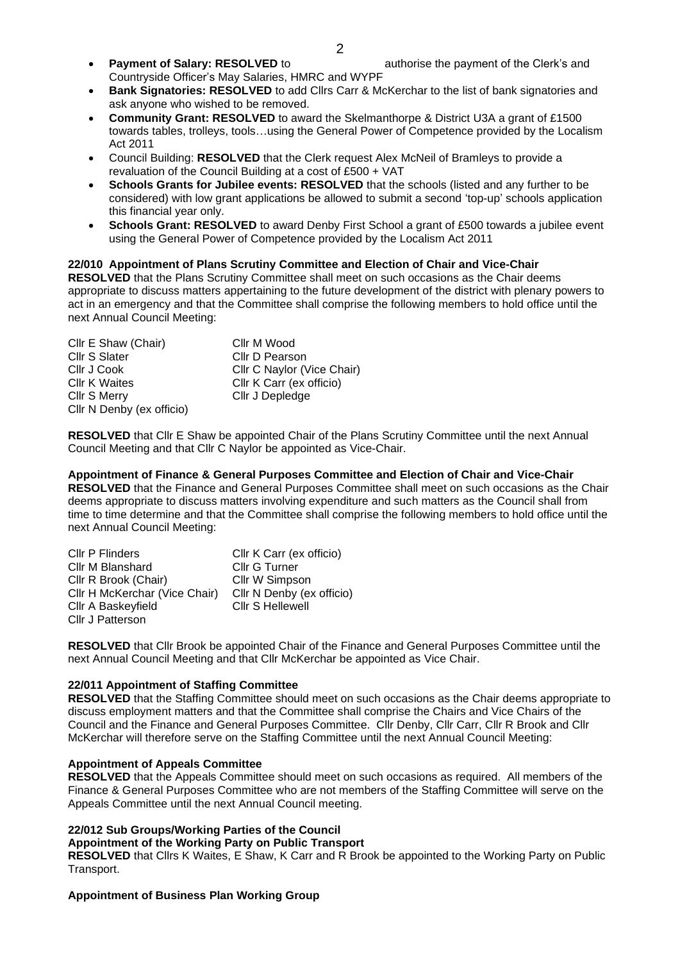- **Payment of Salary: RESOLVED** to authorise the payment of the Clerk's and Countryside Officer's May Salaries, HMRC and WYPF
- **Bank Signatories: RESOLVED** to add Cllrs Carr & McKerchar to the list of bank signatories and ask anyone who wished to be removed.
- **Community Grant: RESOLVED** to award the Skelmanthorpe & District U3A a grant of £1500 towards tables, trolleys, tools…using the General Power of Competence provided by the Localism Act 2011
- Council Building: **RESOLVED** that the Clerk request Alex McNeil of Bramleys to provide a revaluation of the Council Building at a cost of £500 + VAT
- **Schools Grants for Jubilee events: RESOLVED** that the schools (listed and any further to be considered) with low grant applications be allowed to submit a second 'top-up' schools application this financial year only.
- **Schools Grant: RESOLVED** to award Denby First School a grant of £500 towards a jubilee event using the General Power of Competence provided by the Localism Act 2011

# **22/010 Appointment of Plans Scrutiny Committee and Election of Chair and Vice-Chair**

**RESOLVED** that the Plans Scrutiny Committee shall meet on such occasions as the Chair deems appropriate to discuss matters appertaining to the future development of the district with plenary powers to act in an emergency and that the Committee shall comprise the following members to hold office until the next Annual Council Meeting:

Cllr E Shaw (Chair) Cllr M Wood<br>Cllr S Slater Cllr D Pears Cllr S Slater Cllr D Pearson<br>Cllr J Cook Cllr C Navlor (V Cllr C Navlor (Vice Chair) Cllr K Waites<br>
Cllr S Merry<br>
Cllr J Depledge Cllr J Depledge Cllr N Denby (ex officio)

**RESOLVED** that Cllr E Shaw be appointed Chair of the Plans Scrutiny Committee until the next Annual Council Meeting and that Cllr C Naylor be appointed as Vice-Chair.

# **Appointment of Finance & General Purposes Committee and Election of Chair and Vice-Chair**

**RESOLVED** that the Finance and General Purposes Committee shall meet on such occasions as the Chair deems appropriate to discuss matters involving expenditure and such matters as the Council shall from time to time determine and that the Committee shall comprise the following members to hold office until the next Annual Council Meeting:

| Cllr P Flinders               | Cllr K Carr (ex officio)  |  |  |
|-------------------------------|---------------------------|--|--|
| Cllr M Blanshard              | Cllr G Turner             |  |  |
| Cllr R Brook (Chair)          | Cllr W Simpson            |  |  |
| Cllr H McKerchar (Vice Chair) | Cllr N Denby (ex officio) |  |  |
| Cllr A Baskeyfield            | <b>Cllr S Hellewell</b>   |  |  |
| Cllr J Patterson              |                           |  |  |

**RESOLVED** that Cllr Brook be appointed Chair of the Finance and General Purposes Committee until the next Annual Council Meeting and that Cllr McKerchar be appointed as Vice Chair.

# **22/011 Appointment of Staffing Committee**

**RESOLVED** that the Staffing Committee should meet on such occasions as the Chair deems appropriate to discuss employment matters and that the Committee shall comprise the Chairs and Vice Chairs of the Council and the Finance and General Purposes Committee. Cllr Denby, Cllr Carr, Cllr R Brook and Cllr McKerchar will therefore serve on the Staffing Committee until the next Annual Council Meeting:

# **Appointment of Appeals Committee**

**RESOLVED** that the Appeals Committee should meet on such occasions as required. All members of the Finance & General Purposes Committee who are not members of the Staffing Committee will serve on the Appeals Committee until the next Annual Council meeting.

# **22/012 Sub Groups/Working Parties of the Council**

### **Appointment of the Working Party on Public Transport**

**RESOLVED** that Cllrs K Waites, E Shaw, K Carr and R Brook be appointed to the Working Party on Public Transport.

# **Appointment of Business Plan Working Group**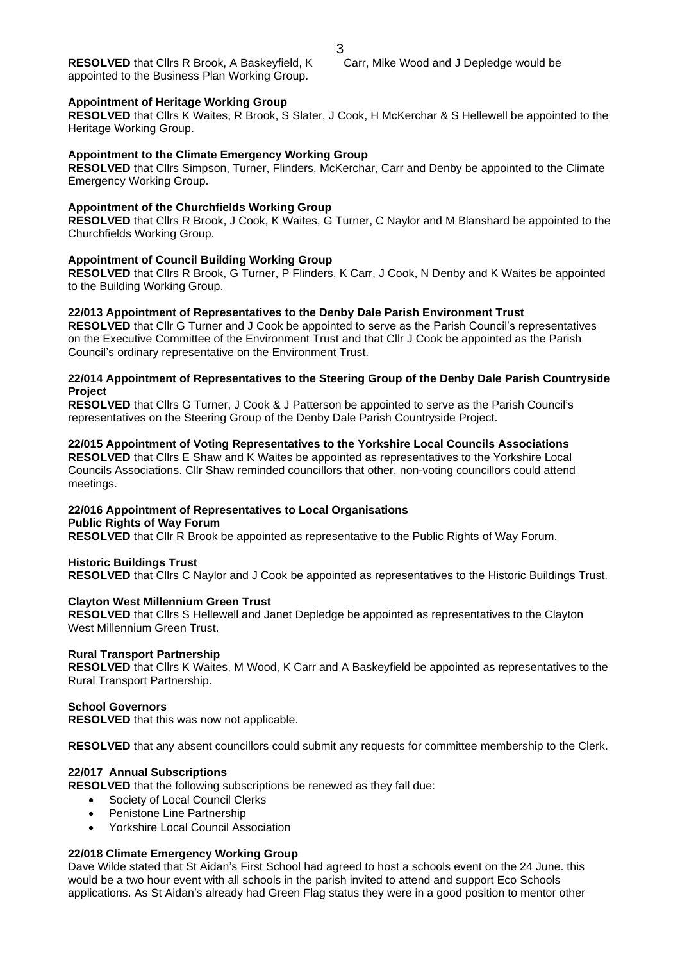#### **Appointment of Heritage Working Group**

**RESOLVED** that Cllrs K Waites, R Brook, S Slater, J Cook, H McKerchar & S Hellewell be appointed to the Heritage Working Group.

### **Appointment to the Climate Emergency Working Group**

**RESOLVED** that Cllrs Simpson, Turner, Flinders, McKerchar, Carr and Denby be appointed to the Climate Emergency Working Group.

### **Appointment of the Churchfields Working Group**

**RESOLVED** that Cllrs R Brook, J Cook, K Waites, G Turner, C Naylor and M Blanshard be appointed to the Churchfields Working Group.

#### **Appointment of Council Building Working Group**

**RESOLVED** that Cllrs R Brook, G Turner, P Flinders, K Carr, J Cook, N Denby and K Waites be appointed to the Building Working Group.

#### **22/013 Appointment of Representatives to the Denby Dale Parish Environment Trust**

**RESOLVED** that Cllr G Turner and J Cook be appointed to serve as the Parish Council's representatives on the Executive Committee of the Environment Trust and that Cllr J Cook be appointed as the Parish Council's ordinary representative on the Environment Trust.

### **22/014 Appointment of Representatives to the Steering Group of the Denby Dale Parish Countryside Project**

**RESOLVED** that Cllrs G Turner, J Cook & J Patterson be appointed to serve as the Parish Council's representatives on the Steering Group of the Denby Dale Parish Countryside Project.

**22/015 Appointment of Voting Representatives to the Yorkshire Local Councils Associations RESOLVED** that Cllrs E Shaw and K Waites be appointed as representatives to the Yorkshire Local

Councils Associations. Cllr Shaw reminded councillors that other, non-voting councillors could attend meetings.

#### **22/016 Appointment of Representatives to Local Organisations Public Rights of Way Forum**

**RESOLVED** that Cllr R Brook be appointed as representative to the Public Rights of Way Forum.

### **Historic Buildings Trust**

**RESOLVED** that Cllrs C Naylor and J Cook be appointed as representatives to the Historic Buildings Trust.

### **Clayton West Millennium Green Trust**

**RESOLVED** that Cllrs S Hellewell and Janet Depledge be appointed as representatives to the Clayton West Millennium Green Trust.

#### **Rural Transport Partnership**

**RESOLVED** that Cllrs K Waites, M Wood, K Carr and A Baskeyfield be appointed as representatives to the Rural Transport Partnership.

### **School Governors**

**RESOLVED** that this was now not applicable.

**RESOLVED** that any absent councillors could submit any requests for committee membership to the Clerk.

### **22/017 Annual Subscriptions**

**RESOLVED** that the following subscriptions be renewed as they fall due:

- Society of Local Council Clerks
- Penistone Line Partnership
- Yorkshire Local Council Association

### **22/018 Climate Emergency Working Group**

Dave Wilde stated that St Aidan's First School had agreed to host a schools event on the 24 June. this would be a two hour event with all schools in the parish invited to attend and support Eco Schools applications. As St Aidan's already had Green Flag status they were in a good position to mentor other